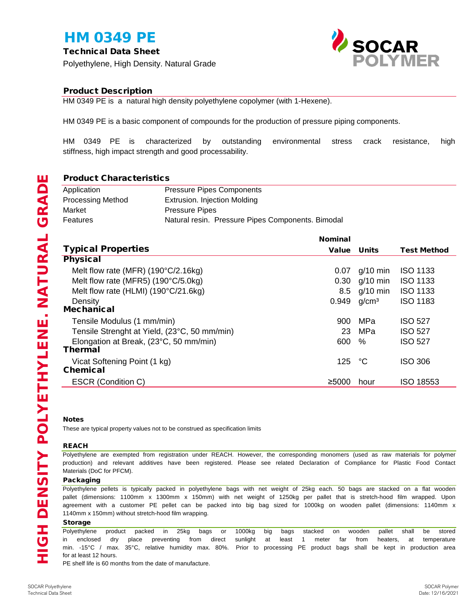# HM 0349 PE

Technical Data Sheet

Polyethylene, High Density. Natural Grade



## Product Description

HM 0349 PE is a natural high density polyethylene copolymer (with 1-Hexene).

HM 0349 PE is a basic component of compounds for the production of pressure piping components.

HM 0349 PE is characterized by outstanding environmental stress crack resistance, high stiffness, high impact strength and good processability.

## Product Characteristics

| Application              | <b>Pressure Pipes Components</b>                  |  |  |
|--------------------------|---------------------------------------------------|--|--|
| <b>Processing Method</b> | Extrusion. Injection Molding                      |  |  |
| Market                   | <b>Pressure Pipes</b>                             |  |  |
| Features                 | Natural resin. Pressure Pipes Components. Bimodal |  |  |

|                                              | <b>Nominal</b> |                   |                    |
|----------------------------------------------|----------------|-------------------|--------------------|
| <b>Typical Properties</b>                    |                | Value Units       | <b>Test Method</b> |
| <b>Physical</b>                              |                |                   |                    |
| Melt flow rate (MFR) $(190^{\circ}C/2.16kg)$ | 0.07           | $g/10$ min        | <b>ISO 1133</b>    |
| Melt flow rate (MFR5) (190°C/5.0kg)          | 0.30           | $g/10$ min        | <b>ISO 1133</b>    |
| Melt flow rate (HLMI) (190°C/21.6kg)         | 8.5            | $g/10$ min        | <b>ISO 1133</b>    |
| Density                                      | 0.949          | q/cm <sup>3</sup> | <b>ISO 1183</b>    |
| <b>Mechanical</b>                            |                |                   |                    |
| Tensile Modulus (1 mm/min)                   | 900            | MPa               | <b>ISO 527</b>     |
| Tensile Strenght at Yield, (23°C, 50 mm/min) | 23             | MPa               | <b>ISO 527</b>     |
| Elongation at Break, (23°C, 50 mm/min)       | 600            | $\%$              | <b>ISO 527</b>     |
| <b>Thermal</b>                               |                |                   |                    |
| Vicat Softening Point (1 kg)                 | 125            | °C                | ISO 306            |
| <b>Chemical</b>                              |                |                   |                    |
| <b>ESCR (Condition C)</b>                    | ≥5000          | hour              | <b>ISO 18553</b>   |

#### Notes

HIGH DENSITY POLYETHYLENE. NATURAL GRADE

**HIGH DENSITY POLYETHYLENE. NATURAL GRADE** 

These are typical property values not to be construed as specification limits

### REACH

Polyethylene are exempted from registration under REACH. However, the corresponding monomers (used as raw materials for polymer production) and relevant additives have been registered. Please see related Declaration of Compliance for Plastic Food Contact Materials (DoC for PFCM).

#### Packaging

1140mm x 150mm) without stretch-hood film wrapping. agreement with a customer PE pellet can be packed into big bag sized for 1000kg on wooden pallet (dimensions: 1140mm x Polyethylene pellets is typically packed in polyethylene bags with net weight of 25kg each. 50 bags are stacked on a flat wooden pallet (dimensions: 1100mm x 1300mm x 150mm) with net weight of 1250kg per pallet that is stretch-hood film wrapped. Upon

### Storage

for at least 12 hours. Polyethylene product packed in 25kg bags or 1000kg big bags stacked on wooden pallet shall be stored in enclosed dry place preventing from direct sunlight at least 1 meter far from heaters, at temperature min. -15°C / max. 35°C, relative humidity max. 80%. Prior to processing PE product bags shall be kept in production area

PE shelf life is 60 months from the date of manufacture.